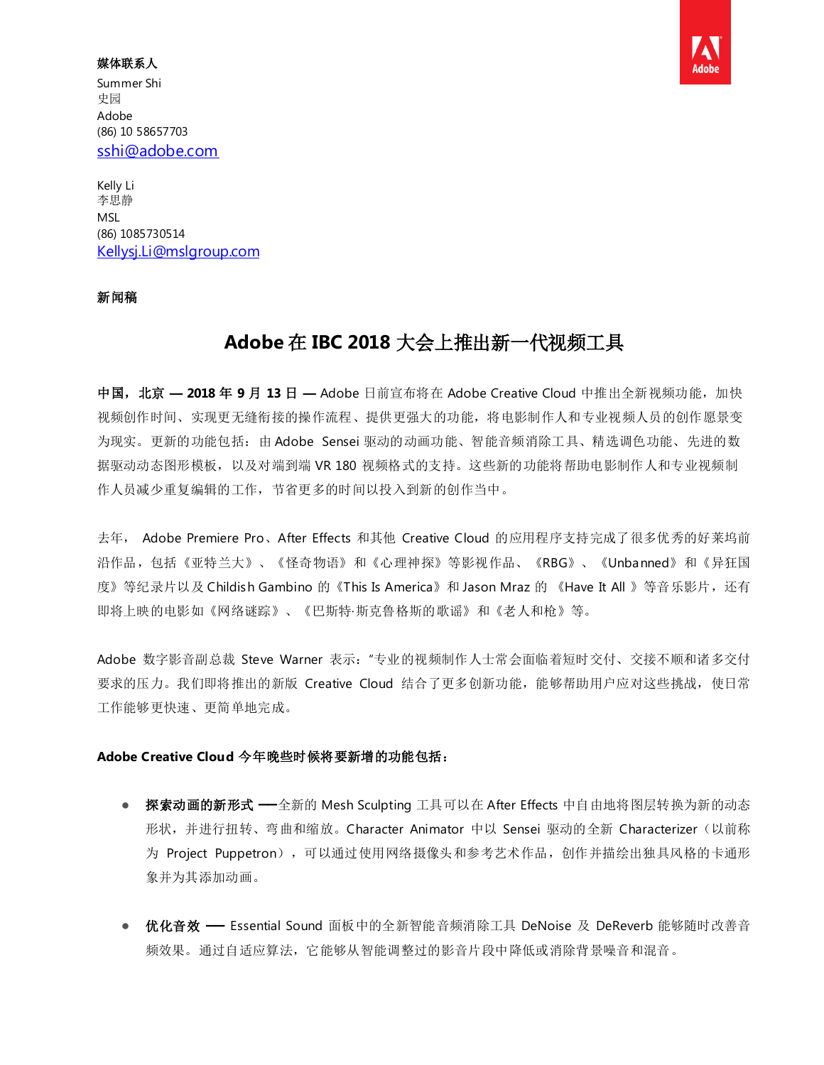### 媒体联系人

Summer Shi 史园 Adobe (86) 10 58657703 [sshi@adobe.com](mailto:sshi@adobe.com)

Kelly Li 李思静 MSL (86) 1085730514 [Kellysj.Li@mslgroup.com](mailto:Kellysj.Li@mslgroup.com)

## 新闻稿

# **Adobe** 在 **IBC 2018** 大会上推出新一代视频工具

中国,北京 **— 2018** 年 **9** 月 **13** 日 **—** Adobe 日前宣布将在 Adobe Creative Cloud 中推出全新视频功能,加快 视频创作时间、实现更无缝衔接的操作流程、提供更强大的功能,将电影制作人和专业视频人员的创作愿景变 为现实。更新的功能包括:由 Adobe Sensei 驱动的动画功能、智能音频消除工具、精选调色功能、先进的数 据驱动动态图形模板,以及对端到端 VR 180 视频格式的支持。这些新的功能将帮助电影制作人和专业视频制 作人员减少重复编辑的工作,节省更多的时间以投入到新的创作当中。

去年, Adobe Premiere Pro、After Effects 和其他 Creative Cloud 的应用程序支持完成了很多优秀的好莱坞前 沿作品,包括《亚特兰大》、《怪奇物语》和《心理神探》等影视作品、《RBG》、《Unbanned》和《异狂国 度》等纪录片以及 Childish Gambino 的《This Is America》和 Jason Mraz 的 《Have It All 》等音乐影片,还有 即将上映的电影如《网络谜踪》、《巴斯特·斯克鲁格斯的歌谣》和《老人和枪》等。

Adobe 数字影音副总裁 Steve Warner 表示:"专业的视频制作人士常会面临着短时交付、交接不顺和诸多交付 要求的压力。我们即将推出的新版 Creative Cloud 结合了更多创新功能,能够帮助用户应对这些挑战,使日常 工作能够更快速、更简单地完成。

## **Adobe Creative Cloud** 今年晚些时候将要新增的功能包括:

- 探索动画的新形式 全新的 Mesh Sculpting 工具可以在 After Effects 中自由地将图层转换为新的动态 形状,并进行扭转、弯曲和缩放。Character Animator 中以 Sensei 驱动的全新 Characterizer(以前称 为 Project Puppetron), 可以通过使用网络摄像头和参考艺术作品, 创作并描绘出独具风格的卡通形 象并为其添加动画。
- 优化音效 ━━ Essential Sound 面板中的全新智能音频消除工具 DeNoise 及 DeReverb 能够随时改善音 频效果。通过自适应算法,它能够从智能调整过的影音片段中降低或消除背景噪音和混音。